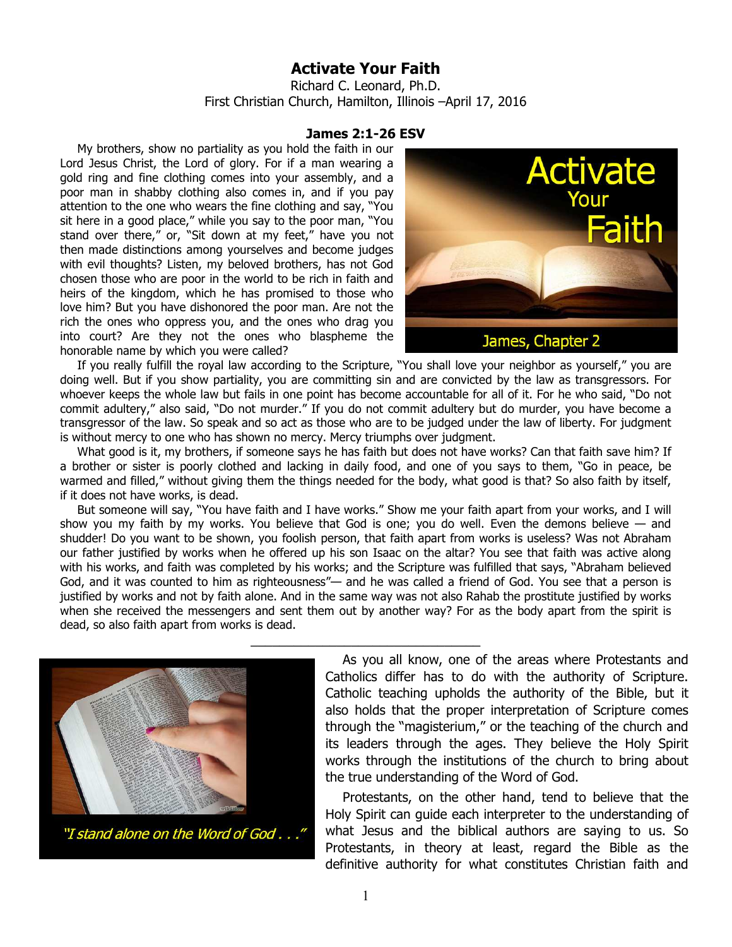## **Activate Your Faith**

Richard C. Leonard, Ph.D. First Christian Church, Hamilton, Illinois –April 17, 2016

## **James 2:1-26 ESV**

My brothers, show no partiality as you hold the faith in our Lord Jesus Christ, the Lord of glory. For if a man wearing a gold ring and fine clothing comes into your assembly, and a poor man in shabby clothing also comes in, and if you pay attention to the one who wears the fine clothing and say, "You sit here in a good place," while you say to the poor man, "You stand over there," or, "Sit down at my feet," have you not then made distinctions among yourselves and become judges with evil thoughts? Listen, my beloved brothers, has not God chosen those who are poor in the world to be rich in faith and heirs of the kingdom, which he has promised to those who love him? But you have dishonored the poor man. Are not the rich the ones who oppress you, and the ones who drag you into court? Are they not the ones who blaspheme the honorable name by which you were called?



If you really fulfill the royal law according to the Scripture, "You shall love your neighbor as yourself," you are doing well. But if you show partiality, you are committing sin and are convicted by the law as transgressors. For whoever keeps the whole law but fails in one point has become accountable for all of it. For he who said, "Do not commit adultery," also said, "Do not murder." If you do not commit adultery but do murder, you have become a transgressor of the law. So speak and so act as those who are to be judged under the law of liberty. For judgment is without mercy to one who has shown no mercy. Mercy triumphs over judgment.

What good is it, my brothers, if someone says he has faith but does not have works? Can that faith save him? If a brother or sister is poorly clothed and lacking in daily food, and one of you says to them, "Go in peace, be warmed and filled," without giving them the things needed for the body, what good is that? So also faith by itself, if it does not have works, is dead.

But someone will say, "You have faith and I have works." Show me your faith apart from your works, and I will show you my faith by my works. You believe that God is one; you do well. Even the demons believe — and shudder! Do you want to be shown, you foolish person, that faith apart from works is useless? Was not Abraham our father justified by works when he offered up his son Isaac on the altar? You see that faith was active along with his works, and faith was completed by his works; and the Scripture was fulfilled that says, "Abraham believed God, and it was counted to him as righteousness"— and he was called a friend of God. You see that a person is justified by works and not by faith alone. And in the same way was not also Rahab the prostitute justified by works when she received the messengers and sent them out by another way? For as the body apart from the spirit is dead, so also faith apart from works is dead.

\_\_\_\_\_\_\_\_\_\_\_\_\_\_\_\_\_\_\_\_\_\_\_\_\_\_\_\_\_\_\_\_



"I stand alone on the Word of God . . ."

As you all know, one of the areas where Protestants and Catholics differ has to do with the authority of Scripture. Catholic teaching upholds the authority of the Bible, but it also holds that the proper interpretation of Scripture comes through the "magisterium," or the teaching of the church and its leaders through the ages. They believe the Holy Spirit works through the institutions of the church to bring about the true understanding of the Word of God.

Protestants, on the other hand, tend to believe that the Holy Spirit can guide each interpreter to the understanding of what Jesus and the biblical authors are saying to us. So Protestants, in theory at least, regard the Bible as the definitive authority for what constitutes Christian faith and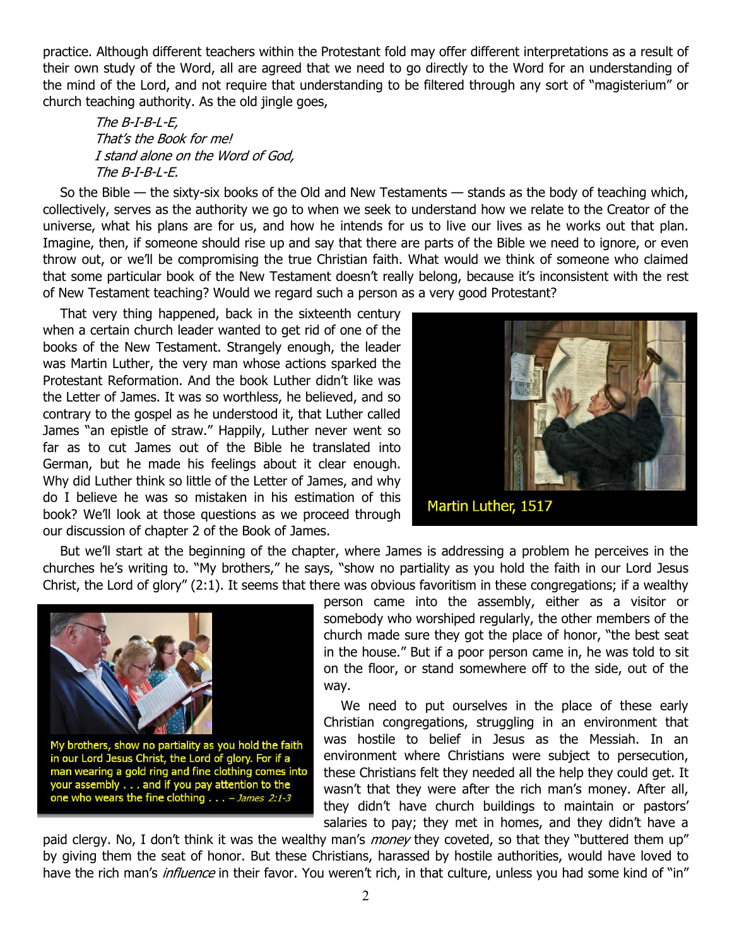practice. Although different teachers within the Protestant fold may offer different interpretations as a result of their own study of the Word, all are agreed that we need to go directly to the Word for an understanding of the mind of the Lord, and not require that understanding to be filtered through any sort of "magisterium" or church teaching authority. As the old jingle goes,

The B-I-B-L-E, That's the Book for me! I stand alone on the Word of God, The B-I-B-L-E.

So the Bible — the sixty-six books of the Old and New Testaments — stands as the body of teaching which, collectively, serves as the authority we go to when we seek to understand how we relate to the Creator of the universe, what his plans are for us, and how he intends for us to live our lives as he works out that plan. Imagine, then, if someone should rise up and say that there are parts of the Bible we need to ignore, or even throw out, or we'll be compromising the true Christian faith. What would we think of someone who claimed that some particular book of the New Testament doesn't really belong, because it's inconsistent with the rest of New Testament teaching? Would we regard such a person as a very good Protestant?

That very thing happened, back in the sixteenth century when a certain church leader wanted to get rid of one of the books of the New Testament. Strangely enough, the leader was Martin Luther, the very man whose actions sparked the Protestant Reformation. And the book Luther didn't like was the Letter of James. It was so worthless, he believed, and so contrary to the gospel as he understood it, that Luther called James "an epistle of straw." Happily, Luther never went so far as to cut James out of the Bible he translated into German, but he made his feelings about it clear enough. Why did Luther think so little of the Letter of James, and why do I believe he was so mistaken in his estimation of this book? We'll look at those questions as we proceed through our discussion of chapter 2 of the Book of James.



But we'll start at the beginning of the chapter, where James is addressing a problem he perceives in the churches he's writing to. "My brothers," he says, "show no partiality as you hold the faith in our Lord Jesus Christ, the Lord of glory" (2:1). It seems that there was obvious favoritism in these congregations; if a wealthy



person came into the assembly, either as a visitor or somebody who worshiped regularly, the other members of the church made sure they got the place of honor, "the best seat in the house." But if a poor person came in, he was told to sit on the floor, or stand somewhere off to the side, out of the way.

We need to put ourselves in the place of these early Christian congregations, struggling in an environment that was hostile to belief in Jesus as the Messiah. In an environment where Christians were subject to persecution, these Christians felt they needed all the help they could get. It wasn't that they were after the rich man's money. After all, they didn't have church buildings to maintain or pastors' salaries to pay; they met in homes, and they didn't have a

paid clergy. No, I don't think it was the wealthy man's *money* they coveted, so that they "buttered them up" by giving them the seat of honor. But these Christians, harassed by hostile authorities, would have loved to have the rich man's *influence* in their favor. You weren't rich, in that culture, unless you had some kind of "in"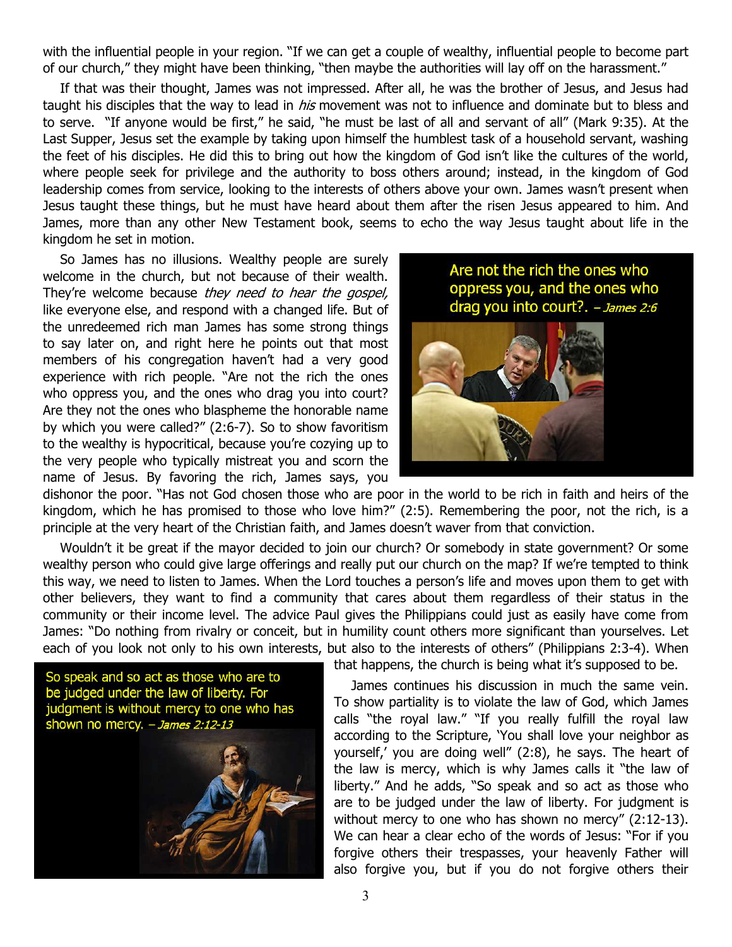with the influential people in your region. "If we can get a couple of wealthy, influential people to become part of our church," they might have been thinking, "then maybe the authorities will lay off on the harassment."

If that was their thought, James was not impressed. After all, he was the brother of Jesus, and Jesus had taught his disciples that the way to lead in *his* movement was not to influence and dominate but to bless and to serve. "If anyone would be first," he said, "he must be last of all and servant of all" (Mark 9:35). At the Last Supper, Jesus set the example by taking upon himself the humblest task of a household servant, washing the feet of his disciples. He did this to bring out how the kingdom of God isn't like the cultures of the world, where people seek for privilege and the authority to boss others around; instead, in the kingdom of God leadership comes from service, looking to the interests of others above your own. James wasn't present when Jesus taught these things, but he must have heard about them after the risen Jesus appeared to him. And James, more than any other New Testament book, seems to echo the way Jesus taught about life in the kingdom he set in motion.

So James has no illusions. Wealthy people are surely welcome in the church, but not because of their wealth. They're welcome because they need to hear the gospel, like everyone else, and respond with a changed life. But of the unredeemed rich man James has some strong things to say later on, and right here he points out that most members of his congregation haven't had a very good experience with rich people. "Are not the rich the ones who oppress you, and the ones who drag you into court? Are they not the ones who blaspheme the honorable name by which you were called?" (2:6-7). So to show favoritism to the wealthy is hypocritical, because you're cozying up to the very people who typically mistreat you and scorn the name of Jesus. By favoring the rich, James says, you

Are not the rich the ones who oppress you, and the ones who drag you into court?. - James 2:6



dishonor the poor. "Has not God chosen those who are poor in the world to be rich in faith and heirs of the kingdom, which he has promised to those who love him?" (2:5). Remembering the poor, not the rich, is a principle at the very heart of the Christian faith, and James doesn't waver from that conviction.

Wouldn't it be great if the mayor decided to join our church? Or somebody in state government? Or some wealthy person who could give large offerings and really put our church on the map? If we're tempted to think this way, we need to listen to James. When the Lord touches a person's life and moves upon them to get with other believers, they want to find a community that cares about them regardless of their status in the community or their income level. The advice Paul gives the Philippians could just as easily have come from James: "Do nothing from rivalry or conceit, but in humility count others more significant than yourselves. Let each of you look not only to his own interests, but also to the interests of others" (Philippians 2:3-4). When



that happens, the church is being what it's supposed to be.

James continues his discussion in much the same vein. To show partiality is to violate the law of God, which James calls "the royal law." "If you really fulfill the royal law according to the Scripture, 'You shall love your neighbor as yourself,' you are doing well" (2:8), he says. The heart of the law is mercy, which is why James calls it "the law of liberty." And he adds, "So speak and so act as those who are to be judged under the law of liberty. For judgment is without mercy to one who has shown no mercy" (2:12-13). We can hear a clear echo of the words of Jesus: "For if you forgive others their trespasses, your heavenly Father will also forgive you, but if you do not forgive others their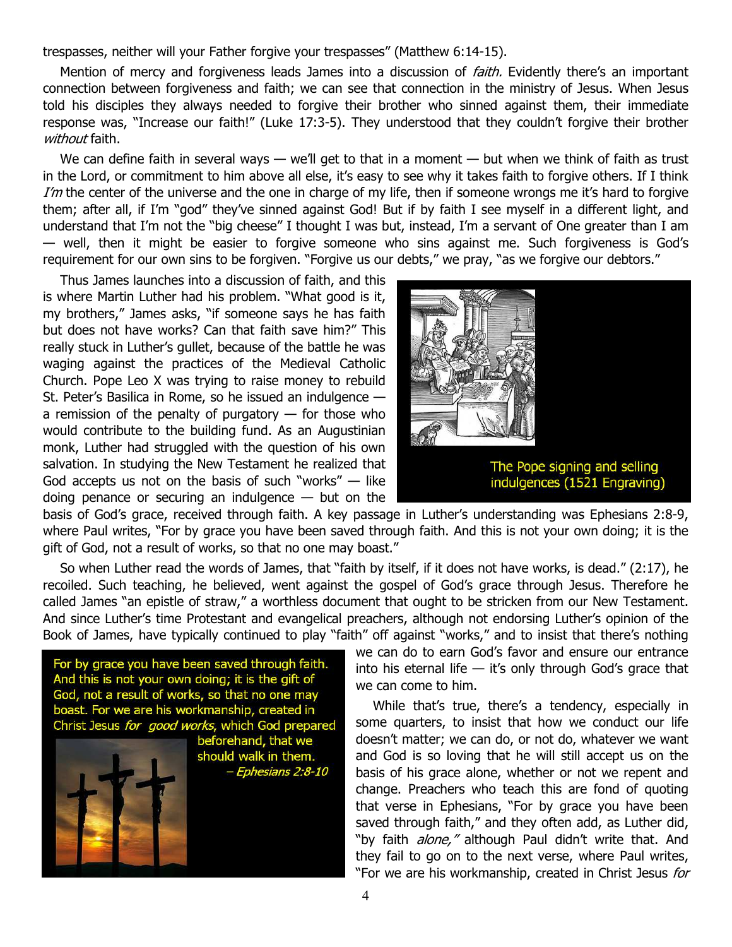trespasses, neither will your Father forgive your trespasses" (Matthew 6:14-15).

Mention of mercy and forgiveness leads James into a discussion of *faith*. Evidently there's an important connection between forgiveness and faith; we can see that connection in the ministry of Jesus. When Jesus told his disciples they always needed to forgive their brother who sinned against them, their immediate response was, "Increase our faith!" (Luke 17:3-5). They understood that they couldn't forgive their brother without faith.

We can define faith in several ways  $-$  we'll get to that in a moment  $-$  but when we think of faith as trust in the Lord, or commitment to him above all else, it's easy to see why it takes faith to forgive others. If I think I'm the center of the universe and the one in charge of my life, then if someone wrongs me it's hard to forgive them; after all, if I'm "god" they've sinned against God! But if by faith I see myself in a different light, and understand that I'm not the "big cheese" I thought I was but, instead, I'm a servant of One greater than I am — well, then it might be easier to forgive someone who sins against me. Such forgiveness is God's requirement for our own sins to be forgiven. "Forgive us our debts," we pray, "as we forgive our debtors."

Thus James launches into a discussion of faith, and this is where Martin Luther had his problem. "What good is it, my brothers," James asks, "if someone says he has faith but does not have works? Can that faith save him?" This really stuck in Luther's gullet, because of the battle he was waging against the practices of the Medieval Catholic Church. Pope Leo X was trying to raise money to rebuild St. Peter's Basilica in Rome, so he issued an indulgence a remission of the penalty of purgatory  $-$  for those who would contribute to the building fund. As an Augustinian monk, Luther had struggled with the question of his own salvation. In studying the New Testament he realized that God accepts us not on the basis of such "works"  $-$  like doing penance or securing an indulgence  $-$  but on the



basis of God's grace, received through faith. A key passage in Luther's understanding was Ephesians 2:8-9, where Paul writes, "For by grace you have been saved through faith. And this is not your own doing; it is the gift of God, not a result of works, so that no one may boast."

So when Luther read the words of James, that "faith by itself, if it does not have works, is dead." (2:17), he recoiled. Such teaching, he believed, went against the gospel of God's grace through Jesus. Therefore he called James "an epistle of straw," a worthless document that ought to be stricken from our New Testament. And since Luther's time Protestant and evangelical preachers, although not endorsing Luther's opinion of the Book of James, have typically continued to play "faith" off against "works," and to insist that there's nothing

For by grace you have been saved through faith. And this is not your own doing; it is the gift of God, not a result of works, so that no one may boast. For we are his workmanship, created in Christ Jesus for good works, which God prepared beforehand, that we



should walk in them. - Ephesians 2:8-10 we can do to earn God's favor and ensure our entrance into his eternal life  $-$  it's only through God's grace that we can come to him.

While that's true, there's a tendency, especially in some quarters, to insist that how we conduct our life doesn't matter; we can do, or not do, whatever we want and God is so loving that he will still accept us on the basis of his grace alone, whether or not we repent and change. Preachers who teach this are fond of quoting that verse in Ephesians, "For by grace you have been saved through faith," and they often add, as Luther did, "by faith *alone,"* although Paul didn't write that. And they fail to go on to the next verse, where Paul writes, "For we are his workmanship, created in Christ Jesus for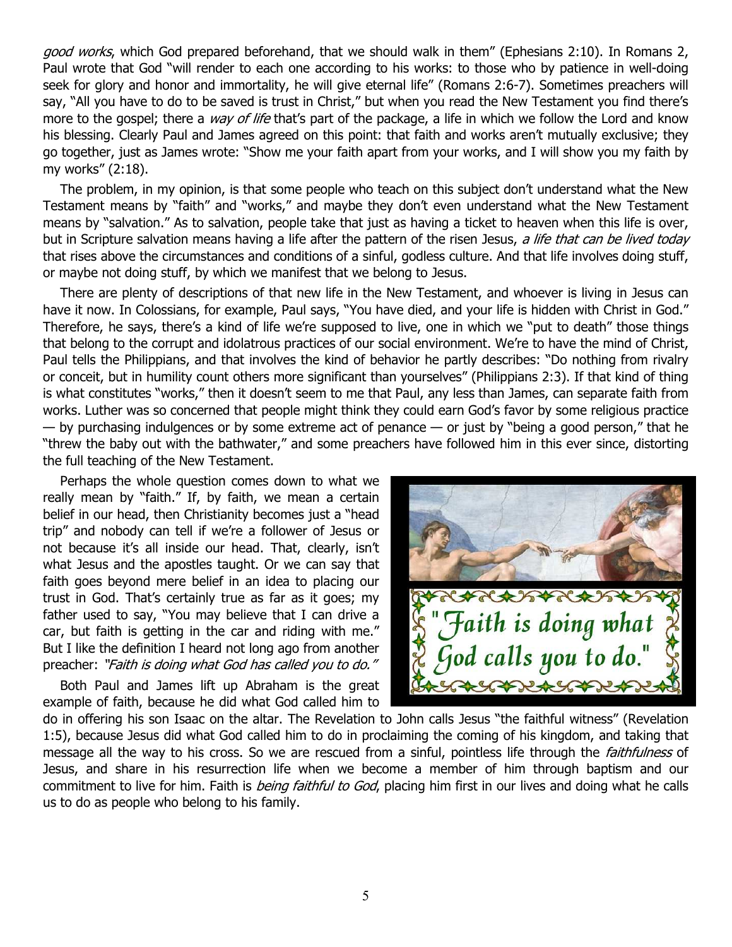good works, which God prepared beforehand, that we should walk in them" (Ephesians 2:10). In Romans 2, Paul wrote that God "will render to each one according to his works: to those who by patience in well-doing seek for glory and honor and immortality, he will give eternal life" (Romans 2:6-7). Sometimes preachers will say, "All you have to do to be saved is trust in Christ," but when you read the New Testament you find there's more to the gospel; there a way of life that's part of the package, a life in which we follow the Lord and know his blessing. Clearly Paul and James agreed on this point: that faith and works aren't mutually exclusive; they go together, just as James wrote: "Show me your faith apart from your works, and I will show you my faith by my works" (2:18).

The problem, in my opinion, is that some people who teach on this subject don't understand what the New Testament means by "faith" and "works," and maybe they don't even understand what the New Testament means by "salvation." As to salvation, people take that just as having a ticket to heaven when this life is over, but in Scripture salvation means having a life after the pattern of the risen Jesus, a life that can be lived today that rises above the circumstances and conditions of a sinful, godless culture. And that life involves doing stuff, or maybe not doing stuff, by which we manifest that we belong to Jesus.

There are plenty of descriptions of that new life in the New Testament, and whoever is living in Jesus can have it now. In Colossians, for example, Paul says, "You have died, and your life is hidden with Christ in God." Therefore, he says, there's a kind of life we're supposed to live, one in which we "put to death" those things that belong to the corrupt and idolatrous practices of our social environment. We're to have the mind of Christ, Paul tells the Philippians, and that involves the kind of behavior he partly describes: "Do nothing from rivalry or conceit, but in humility count others more significant than yourselves" (Philippians 2:3). If that kind of thing is what constitutes "works," then it doesn't seem to me that Paul, any less than James, can separate faith from works. Luther was so concerned that people might think they could earn God's favor by some religious practice  $-$  by purchasing indulgences or by some extreme act of penance  $-$  or just by "being a good person," that he "threw the baby out with the bathwater," and some preachers have followed him in this ever since, distorting the full teaching of the New Testament.

Perhaps the whole question comes down to what we really mean by "faith." If, by faith, we mean a certain belief in our head, then Christianity becomes just a "head trip" and nobody can tell if we're a follower of Jesus or not because it's all inside our head. That, clearly, isn't what Jesus and the apostles taught. Or we can say that faith goes beyond mere belief in an idea to placing our trust in God. That's certainly true as far as it goes; my father used to say, "You may believe that I can drive a car, but faith is getting in the car and riding with me." But I like the definition I heard not long ago from another preacher: "Faith is doing what God has called you to do."

Both Paul and James lift up Abraham is the great example of faith, because he did what God called him to



do in offering his son Isaac on the altar. The Revelation to John calls Jesus "the faithful witness" (Revelation 1:5), because Jesus did what God called him to do in proclaiming the coming of his kingdom, and taking that message all the way to his cross. So we are rescued from a sinful, pointless life through the *faithfulness* of Jesus, and share in his resurrection life when we become a member of him through baptism and our commitment to live for him. Faith is *being faithful to God*, placing him first in our lives and doing what he calls us to do as people who belong to his family.